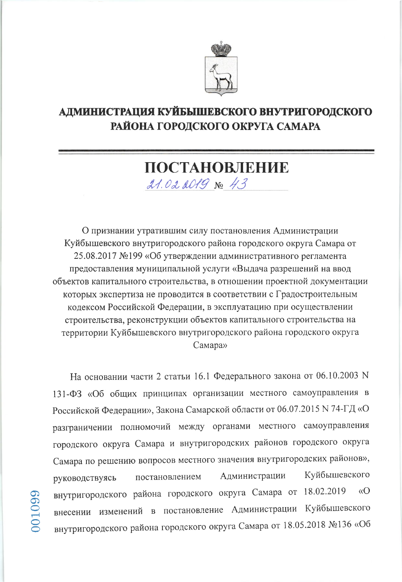

## АДМИНИСТРАЦИЯ КУЙБЫШЕВСКОГО ВНУТРИГОРОДСКОГО РАЙОНА ГОРОДСКОГО ОКРУГА САМАРА

## ПОСТАНОВЛЕНИЕ 21.02 2019 No 43

О признании утратившим силу постановления Администрации Куйбышевского внутригородского района городского округа Самара от 25.08.2017 №199 «Об утверждении административного регламента предоставления муниципальной услуги «Выдача разрешений на ввод объектов капитального строительства, в отношении проектной документации которых экспертиза не проводится в соответствии с Градостроительным кодексом Российской Федерации, в эксплуатацию при осуществлении строительства, реконструкции объектов капитального строительства на территории Куйбышевского внутригородского района городского округа Самара»

На основании части 2 статьи 16.1 Федерального закона от 06.10.2003 N 131-ФЗ «Об общих принципах организации местного самоуправления в Российской Федерации», Закона Самарской области от 06.07.2015 N 74-ГД «О разграничении полномочий между органами местного самоуправления городского округа Самара и внутригородских районов городского округа Самара по решению вопросов местного значения внутригородских районов», Куйбышевского Администрации постановлением руководствуясь внутригородского района городского округа Самара от 18.02.2019  $\sqrt{O}$ внесении изменений в постановление Администрации Куйбышевского внутригородского района городского округа Самара от 18.05.2018 №136 «Об

01099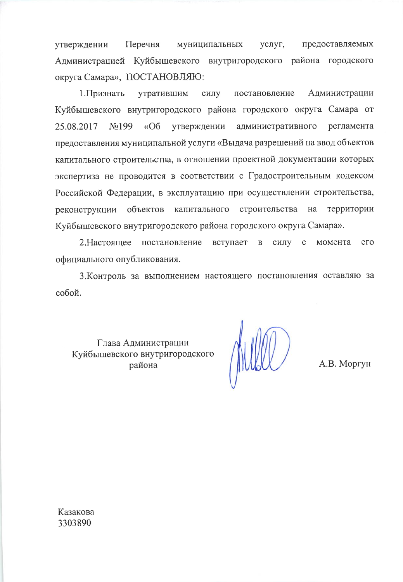утверждении Перечня муниципальных предоставляемых услуг, Администрацией Куйбышевского внутригородского района городского округа Самара», ПОСТАНОВЛЯЮ:

постановление Администрации 1. Признать утратившим силу Куйбышевского внутригородского района городского округа Самара от  $N<sub>0</sub>199$  $\langle \langle$  O<sub>6</sub> административного 25.08.2017 утверждении регламента предоставления муниципальной услуги «Выдача разрешений на ввод объектов капитального строительства, в отношении проектной документации которых экспертиза не проводится в соответствии с Градостроительным кодексом Российской Федерации, в эксплуатацию при осуществлении строительства, реконструкции объектов капитального строительства на территории Куйбышевского внутригородского района городского округа Самара».

2. Настоящее постановление вступает в силу с момента его официального опубликования.

3. Контроль за выполнением настоящего постановления оставляю за собой.

Глава Администрации Куйбышевского внутригородского района

А.В. Моргун

Казакова 3303890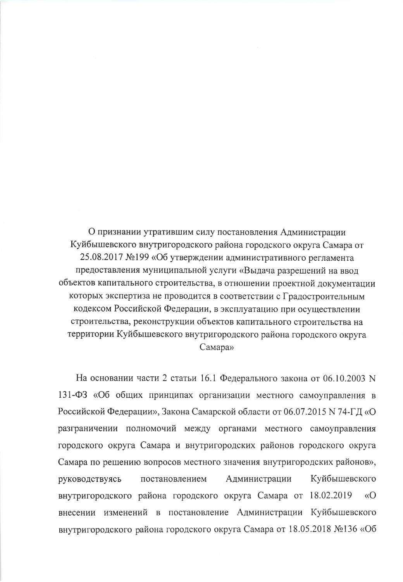О признании утратившим силу постановления Администрации Куйбышевского внутригородского района городского округа Самара от 25.08.2017 №199 «Об утверждении административного регламента предоставления муниципальной услуги «Выдача разрешений на ввод объектов капитального строительства, в отношении проектной документации которых экспертиза не проводится в соответствии с Градостроительным кодексом Российской Федерации, в эксплуатацию при осуществлении строительства, реконструкции объектов капитального строительства на территории Куйбышевского внутригородского района городского округа Самара»

На основании части 2 статьи 16.1 Федерального закона от 06.10.2003 N 131-ФЗ «Об общих принципах организации местного самоуправления в Российской Федерации», Закона Самарской области от 06.07.2015 N 74-ГД «О разграничении полномочий между органами местного самоуправления городского округа Самара и внутригородских районов городского округа Самара по решению вопросов местного значения внутригородских районов», Куйбышевского руководствуясь постановлением Администрации внутригородского района городского округа Самара от 18.02.2019  $\langle \langle \mathbf{O} \rangle$ внесении изменений в постановление Администрации Куйбышевского внутригородского района городского округа Самара от 18.05.2018 №136 «Об